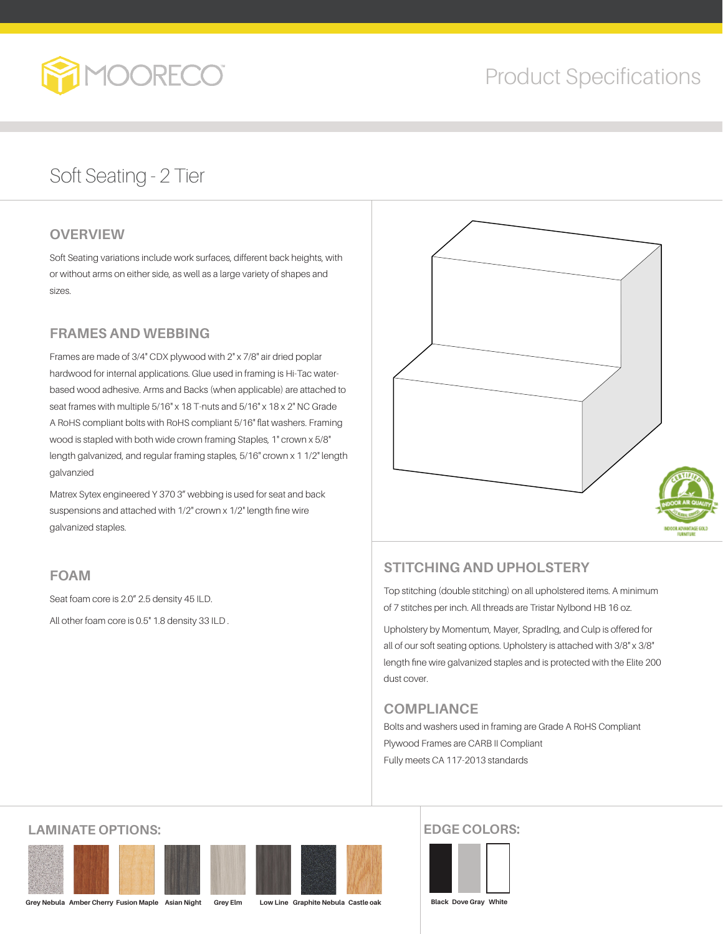

# Product Specifications

## Soft Seating - 2 Tier

### **OVERVIEW**

Soft Seating variations include work surfaces, different back heights, with or without arms on either side, as well as a large variety of shapes and sizes.

### **FRAMES AND WEBBING**

Frames are made of 3/4" CDX plywood with 2" x 7/8" air dried poplar hardwood for internal applications. Glue used in framing is Hi-Tac waterbased wood adhesive. Arms and Backs (when applicable) are attached to seat frames with multiple 5/16" x 18 T-nuts and 5/16" x 18 x 2" NC Grade A RoHS compliant bolts with RoHS compliant 5/16" flat washers. Framing wood is stapled with both wide crown framing Staples, 1" crown x 5/8" length galvanized, and regular framing staples, 5/16" crown x 1 1/2" length galvanzied

Matrex Sytex engineered Y 370 3" webbing is used for seat and back suspensions and attached with 1/2" crown x 1/2" length fine wire galvanized staples.

### **FOAM**

Seat foam core is 2.0" 2.5 density 45 ILD. All other foam core is 0.5" 1.8 density 33 ILD .



### **STITCHING AND UPHOLSTERY**

Top stitching (double stitching) on all upholstered items. A minimum of 7 stitches per inch. All threads are Tristar Nylbond HB 16 oz.

Upholstery by Momentum, Mayer, Spradlng, and Culp is offered for all of our soft seating options. Upholstery is attached with 3/8" x 3/8" length fine wire galvanized staples and is protected with the Elite 200 dust cover.

### **COMPLIANCE**

Bolts and washers used in framing are Grade A RoHS Compliant Plywood Frames are CARB II Compliant Fully meets CA 117-2013 standards

### **LAMINATE OPTIONS:**





### **EDGE COLORS:**

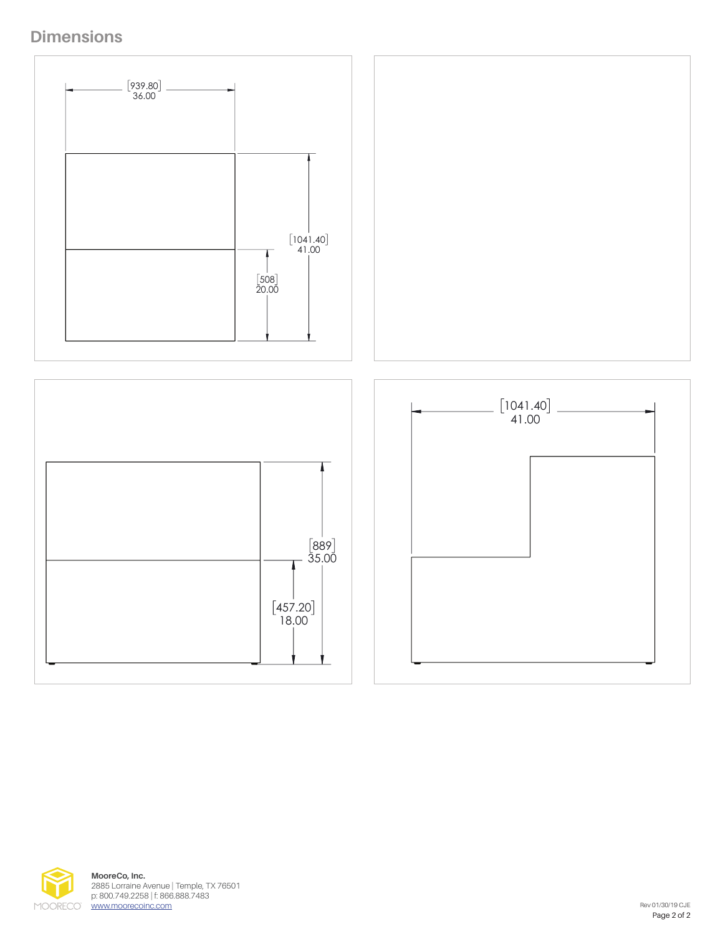





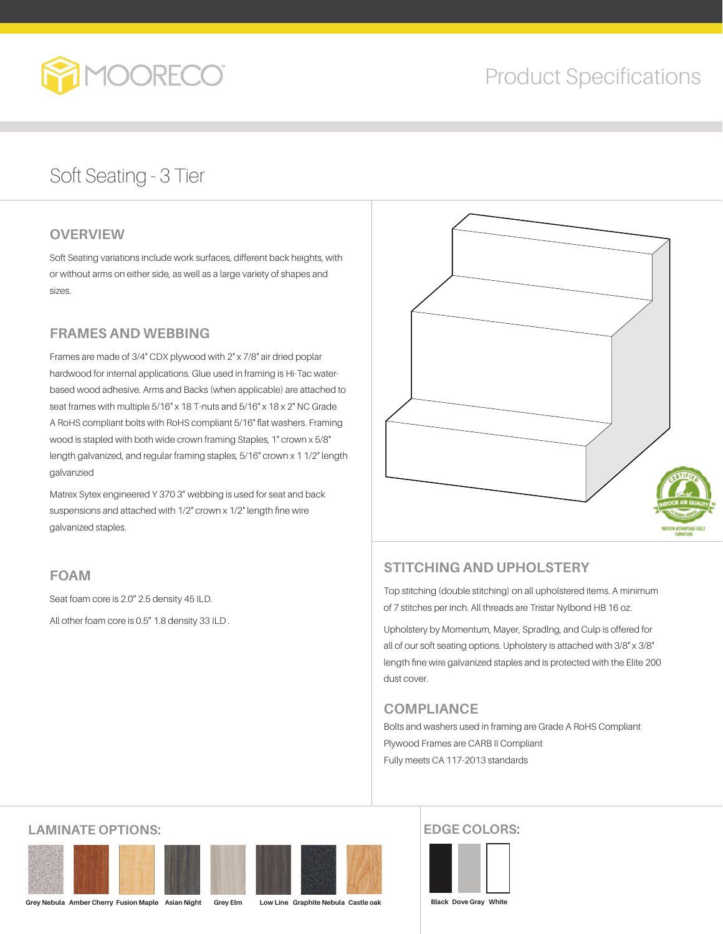

# Product Specifications

## Soft Seating - 3 Tier

### **OVERVIEW**

Soft Seating variations include work surfaces, different back heights, with or without arms on either side, as well as a large variety of shapes and sizes.

### **FRAMES AND WEBBING**

Frames are made of 3/4" CDX plywood with 2" x 7/8" air dried poplar hardwood for internal applications. Glue used in framing is Hi-Tac waterbased wood adhesive. Arms and Backs (when applicable) are attached to seat frames with multiple 5/16" x 18 T-nuts and 5/16" x 18 x 2" NC Grade A RoHS compliant bolts with RoHS compliant 5/16" flat washers. Framing wood is stapled with both wide crown framing Staples, 1" crown x 5/8" length galvanized, and regular framing staples, 5/16" crown x 1 1/2" length galvanzied

Matrex Sytex engineered Y 370 3" webbing is used for seat and back suspensions and attached with 1/2" crown x 1/2" length fine wire galvanized staples.

#### **FOAM**

Seat foam core is 2.0" 2.5 density 45 ILD. All other foam core is 0.5" 1.8 density 33 ILD .



### **STITCHING AND UPHOLSTERY**

Top stitching (double stitching) on all upholstered items. A minimum of 7 stitches per inch. All threads are Tristar Nylbond HB 16 oz.

Upholstery by Momentum, Mayer, Spradlng, and Culp is offered for all of our soft seating options. Upholstery is attached with 3/8" x 3/8" length fine wire galvanized staples and is protected with the Elite 200 dust cover.

#### **COMPLIANCE**

Bolts and washers used in framing are Grade A RoHS Compliant Plywood Frames are CARB II Compliant Fully meets CA 117-2013 standards

### **LAMINATE OPTIONS:**



**Grey Nebula Amber Cherry Fusion Maple Asian Night Grey Elm Low Line Graphite Nebula Castle oak**

#### **EDGE COLORS:**

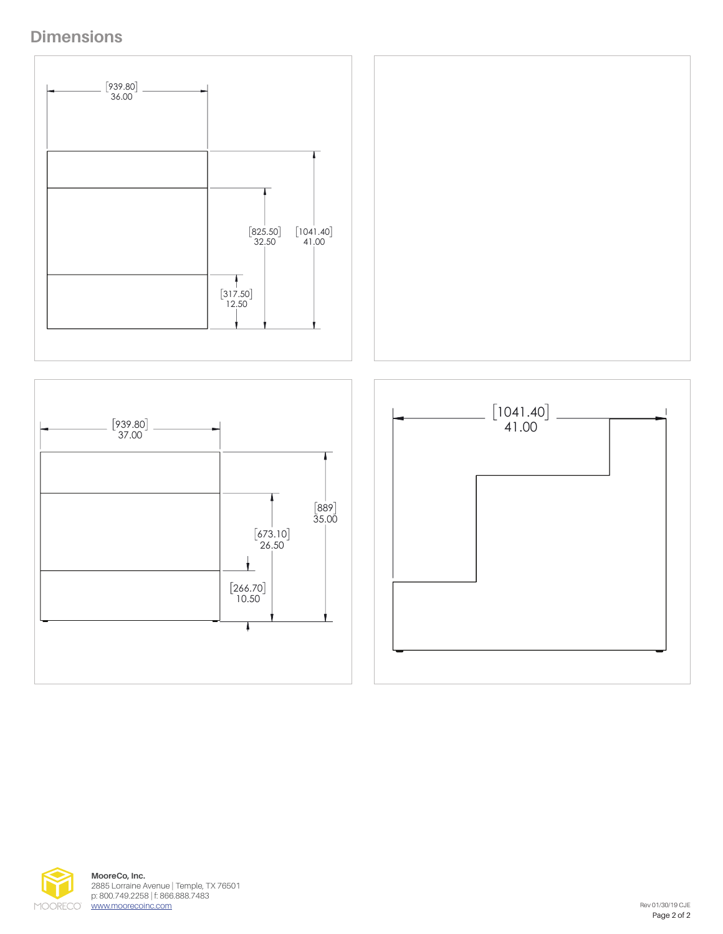





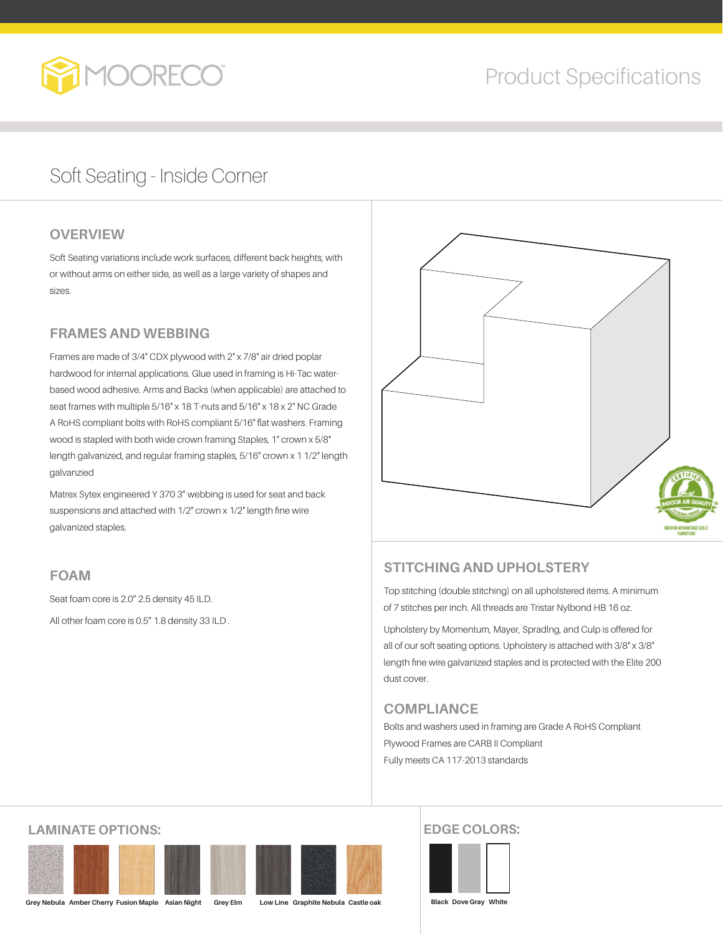

## Soft Seating - Inside Corner

### **OVERVIEW**

Soft Seating variations include work surfaces, different back heights, with or without arms on either side, as well as a large variety of shapes and sizes.

### **FRAMES AND WEBBING**

Frames are made of 3/4" CDX plywood with 2" x 7/8" air dried poplar hardwood for internal applications. Glue used in framing is Hi-Tac waterbased wood adhesive. Arms and Backs (when applicable) are attached to seat frames with multiple 5/16" x 18 T-nuts and 5/16" x 18 x 2" NC Grade A RoHS compliant bolts with RoHS compliant 5/16" flat washers. Framing wood is stapled with both wide crown framing Staples, 1" crown x 5/8" length galvanized, and regular framing staples, 5/16" crown x 1 1/2" length galvanzied

Matrex Sytex engineered Y 370 3" webbing is used for seat and back suspensions and attached with 1/2" crown x 1/2" length fine wire galvanized staples.

### **FOAM**

Seat foam core is 2.0" 2.5 density 45 ILD. All other foam core is 0.5" 1.8 density 33 ILD .



### **STITCHING AND UPHOLSTERY**

Top stitching (double stitching) on all upholstered items. A minimum of 7 stitches per inch. All threads are Tristar Nylbond HB 16 oz.

Upholstery by Momentum, Mayer, Spradlng, and Culp is offered for all of our soft seating options. Upholstery is attached with 3/8" x 3/8" length fine wire galvanized staples and is protected with the Elite 200 dust cover.

### **COMPLIANCE**

Bolts and washers used in framing are Grade A RoHS Compliant Plywood Frames are CARB II Compliant Fully meets CA 117-2013 standards

### **LAMINATE OPTIONS:**



**Grey Nebula Amber Cherry Fusion Maple Asian Night Grey Elm Low Line Graphite Nebula Castle oak**

### **EDGE COLORS:**

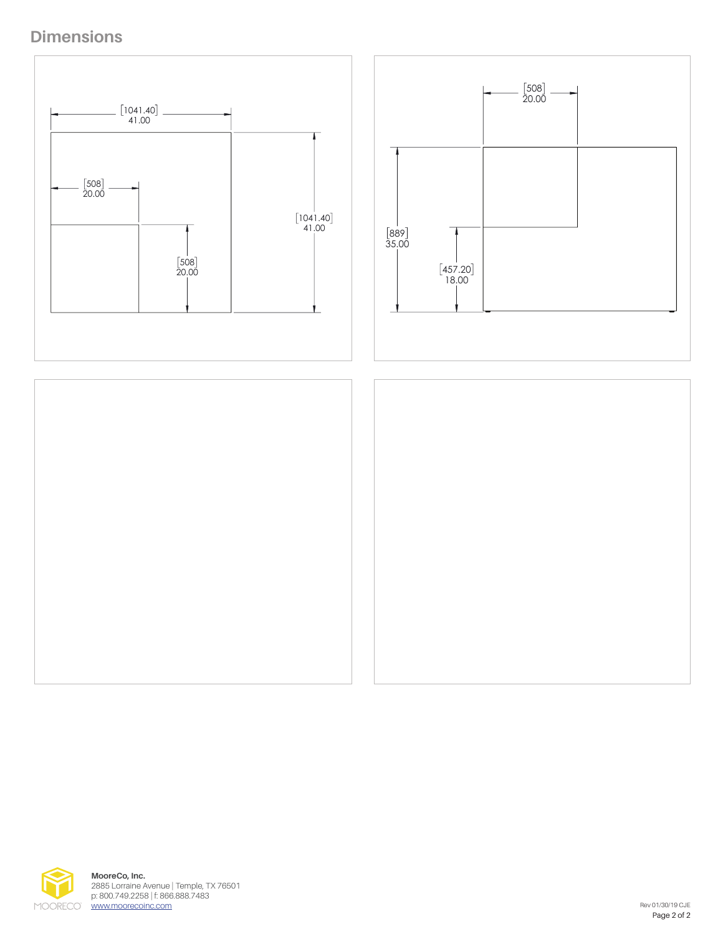







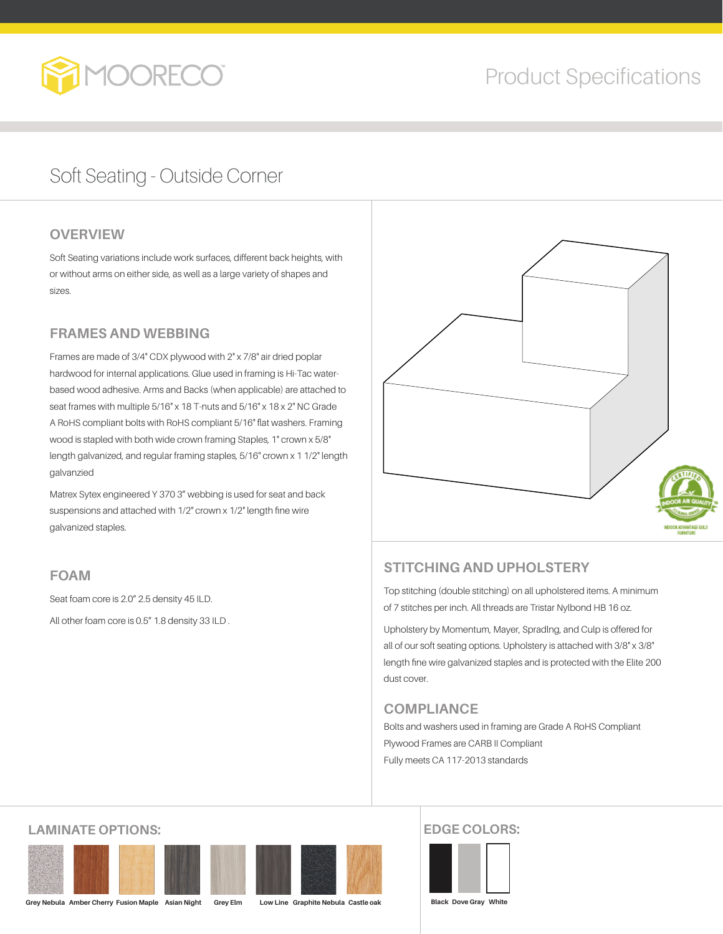

## Soft Seating - Outside Corner

### **OVERVIEW**

Soft Seating variations include work surfaces, different back heights, with or without arms on either side, as well as a large variety of shapes and sizes.

### **FRAMES AND WEBBING**

Frames are made of 3/4" CDX plywood with 2" x 7/8" air dried poplar hardwood for internal applications. Glue used in framing is Hi-Tac waterbased wood adhesive. Arms and Backs (when applicable) are attached to seat frames with multiple 5/16" x 18 T-nuts and 5/16" x 18 x 2" NC Grade A RoHS compliant bolts with RoHS compliant 5/16" flat washers. Framing wood is stapled with both wide crown framing Staples, 1" crown x 5/8" length galvanized, and regular framing staples, 5/16" crown x 1 1/2" length galvanzied

Matrex Sytex engineered Y 370 3" webbing is used for seat and back suspensions and attached with 1/2" crown x 1/2" length fine wire galvanized staples.

### **FOAM**

Seat foam core is 2.0" 2.5 density 45 ILD. All other foam core is 0.5" 1.8 density 33 ILD .



### **STITCHING AND UPHOLSTERY**

Top stitching (double stitching) on all upholstered items. A minimum of 7 stitches per inch. All threads are Tristar Nylbond HB 16 oz.

Upholstery by Momentum, Mayer, Spradlng, and Culp is offered for all of our soft seating options. Upholstery is attached with 3/8" x 3/8" length fine wire galvanized staples and is protected with the Elite 200 dust cover.

### **COMPLIANCE**

Bolts and washers used in framing are Grade A RoHS Compliant Plywood Frames are CARB II Compliant Fully meets CA 117-2013 standards

### **LAMINATE OPTIONS:**





**Grey Nebula Amber Cherry Fusion Maple Asian Night Grey Elm Low Line Graphite Nebula Castle oak**

### **EDGE COLORS:**